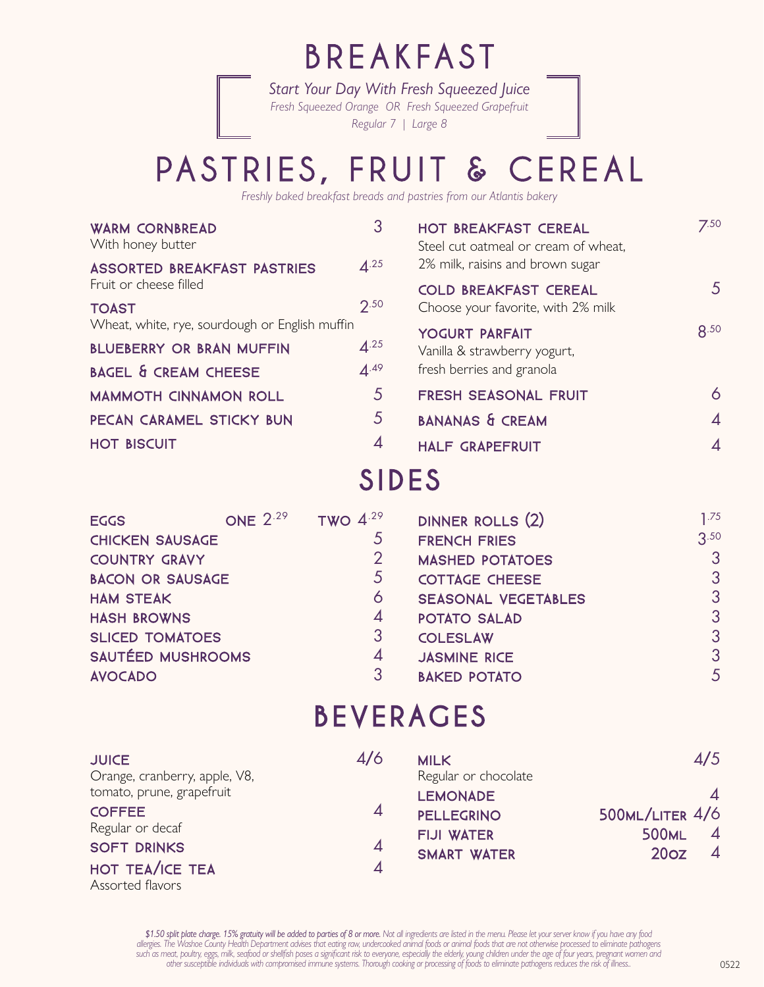## BREAKFAST

*Start Your Day With Fresh Squeezed Juice Fresh Squeezed Orange OR Fresh Squeezed Grapefruit Regular 7 | Large 8*

## PASTRIES, FRUIT & CEREAL

*Freshly baked breakfast breads and pastries from our Atlantis bakery*

| 3                                              | HOT BREAKFAST CEREAL<br>Steel cut oatmeal or cream of wheat, | 7.50           |
|------------------------------------------------|--------------------------------------------------------------|----------------|
| $\mathbf{\Lambda}^{.25}$                       | 2% milk, raisins and brown sugar                             |                |
|                                                | <b>COLD BREAKFAST CEREAL</b>                                 | 5              |
| 2.50                                           | Choose your favorite, with 2% milk                           |                |
| Wheat, white, rye, sourdough or English muffin |                                                              | R.50           |
| 4.25                                           | Vanilla & strawberry yogurt,                                 |                |
| 4.49                                           | fresh berries and granola                                    |                |
| 5                                              | FRESH SEASONAL FRUIT                                         | 6              |
| 5                                              | <b>BANANAS &amp; CREAM</b>                                   | $\overline{4}$ |
| 4                                              | <b>HALF GRAPEFRUIT</b>                                       | $\overline{4}$ |
|                                                |                                                              | YOGURT PARFAIT |

### SIDES

| <b>EGGS</b>             | <b>ONE 2.29</b> | TWO $4.29$     | DINNER ROLLS (2)           | 1.75           |
|-------------------------|-----------------|----------------|----------------------------|----------------|
| <b>CHICKEN SAUSAGE</b>  |                 | $\mathcal{L}$  | <b>FRENCH FRIES</b>        | 3.50           |
| <b>COUNTRY GRAVY</b>    |                 | $\overline{2}$ | <b>MASHED POTATOES</b>     | $\overline{3}$ |
| <b>BACON OR SAUSAGE</b> |                 | $5^{\circ}$    | <b>COTTAGE CHEESE</b>      | $\mathcal{S}$  |
| <b>HAM STEAK</b>        |                 | 6              | <b>SEASONAL VEGETABLES</b> | 3              |
| <b>HASH BROWNS</b>      |                 | $\overline{4}$ | <b>POTATO SALAD</b>        | 3              |
| <b>SLICED TOMATOES</b>  |                 | 3              | <b>COLESLAW</b>            | 3              |
| SAUTÉED MUSHROOMS       |                 | $\overline{A}$ | <b>JASMINE RICE</b>        | 3              |
| <b>AVOCADO</b>          |                 | 3              | <b>BAKED POTATO</b>        | 5              |
|                         |                 |                |                            |                |

### BEVERAGES

| <b>JUICE</b>                  | 4/6            | <b>MILK</b>          | 4/5                                       |
|-------------------------------|----------------|----------------------|-------------------------------------------|
| Orange, cranberry, apple, V8, |                | Regular or chocolate |                                           |
| tomato, prune, grapefruit     |                | <b>LEMONADE</b>      |                                           |
| <b>COFFEE</b>                 | $\overline{4}$ | <b>PELLEGRINO</b>    | $500$ ML/LITER $4/6$                      |
| Regular or decaf              |                | <b>FIJI WATER</b>    | $\boldsymbol{\varLambda}$<br><b>500ML</b> |
| <b>SOFT DRINKS</b>            | 4              | <b>SMART WATER</b>   | $\overline{4}$<br>20 <sub>oz</sub>        |
| HOT TEA/ICE TEA               |                |                      |                                           |

Assorted flavors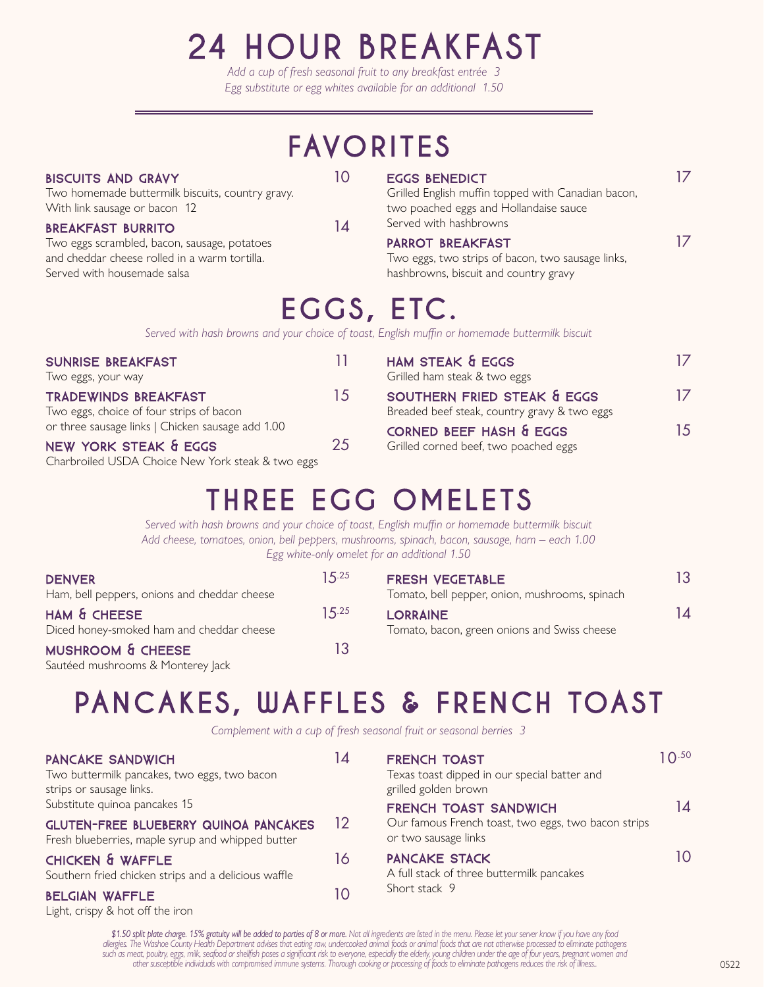## 24 HOUR BREAKFAST

*Add a cup of fresh seasonal fruit to any breakfast entrée 3 Egg substitute or egg whites available for an additional 1.50*

## FAVORITES

#### BISCUITS AND GRAVY 10

Two homemade buttermilk biscuits, country gravy. With link sausage or bacon 12

#### BREAKFAST BURRITO 14

Two eggs scrambled, bacon, sausage, potatoes and cheddar cheese rolled in a warm tortilla. Served with housemade salsa

EGGS BENEDICT 17

Grilled English muffin topped with Canadian bacon, two poached eggs and Hollandaise sauce Served with hashbrowns

#### PARROT BREAKFAST 17

Two eggs, two strips of bacon, two sausage links, hashbrowns, biscuit and country gravy

## EGGS, ETC.

*Served with hash browns and your choice of toast, English muffin or homemade buttermilk biscuit*

| <b>SUNRISE BREAKFAST</b>                          | 11 | <b>HAM STI</b> |
|---------------------------------------------------|----|----------------|
| Two eggs, your way                                |    | Grilled har    |
| <b>TRADEWINDS BREAKFAST</b>                       | 15 | <b>SOUTHE</b>  |
| Two eggs, choice of four strips of bacon          |    | Breaded b      |
| or three sausage links   Chicken sausage add 1.00 |    | <b>CORNED</b>  |
| NEW YORK STEAK & EGGS                             | 25 | Grilled cor    |
| Charbroiled USDA Choice New York steak & two eggs |    |                |

| HAM STEAK & EGGS<br>Grilled ham steak & two eggs                            |    |
|-----------------------------------------------------------------------------|----|
| SOUTHERN FRIED STEAK & EGGS<br>Breaded beef steak, country gravy & two eggs | 17 |
| CORNED BEEF HASH & EGGS<br>Grilled corned beef, two poached eggs            | 15 |

## THREE EGG OMELETS

*Served with hash browns and your choice of toast, English muffin or homemade buttermilk biscuit Add cheese, tomatoes, onion, bell peppers, mushrooms, spinach, bacon, sausage, ham – each 1.00 Egg white-only omelet for an additional 1.50*

| <b>DENVER</b><br>Ham, bell peppers, onions and cheddar cheese     | 15.25 | <b>FRESH VEGETABLE</b><br>Tomato, bell pepper, onion, mushrooms, spinach | 13 |
|-------------------------------------------------------------------|-------|--------------------------------------------------------------------------|----|
| HAM & CHEESE<br>Diced honey-smoked ham and cheddar cheese         | 15.25 | <b>LORRAINE</b><br>Tomato, bacon, green onions and Swiss cheese          | 14 |
| <b>MUSHROOM &amp; CHEESE</b><br>Sautéed mushrooms & Monterey Jack | 13    |                                                                          |    |

## PANCAKES, WAFFLES & FRENCH TOAST

*Complement with a cup of fresh seasonal fruit or seasonal berries 3*

| <b>PANCAKE SANDWICH</b><br>Two buttermilk pancakes, two eggs, two bacon<br>strips or sausage links.<br>Substitute quinoa pancakes 15<br><b>GLUTEN-FREE BLUEBERRY QUINOA PANCAKES</b> | 14<br>12 | <b>FRENCH TOAST</b><br>Texas toast dipped in our special batter and<br>grilled golden brown<br>FRENCH TOAST SANDWICH<br>Our famous French toast, two eggs, two bacon strips<br>or two sausage links | $10^{.50}$<br>14 |
|--------------------------------------------------------------------------------------------------------------------------------------------------------------------------------------|----------|-----------------------------------------------------------------------------------------------------------------------------------------------------------------------------------------------------|------------------|
| Fresh blueberries, maple syrup and whipped butter<br>CHICKEN & WAFFLE<br>Southern fried chicken strips and a delicious waffle<br><b>BELGIAN WAFFLE</b>                               | 16<br>10 | <b>PANCAKE STACK</b><br>A full stack of three buttermilk pancakes<br>Short stack 9                                                                                                                  | 10               |

Light, crispy & hot off the iron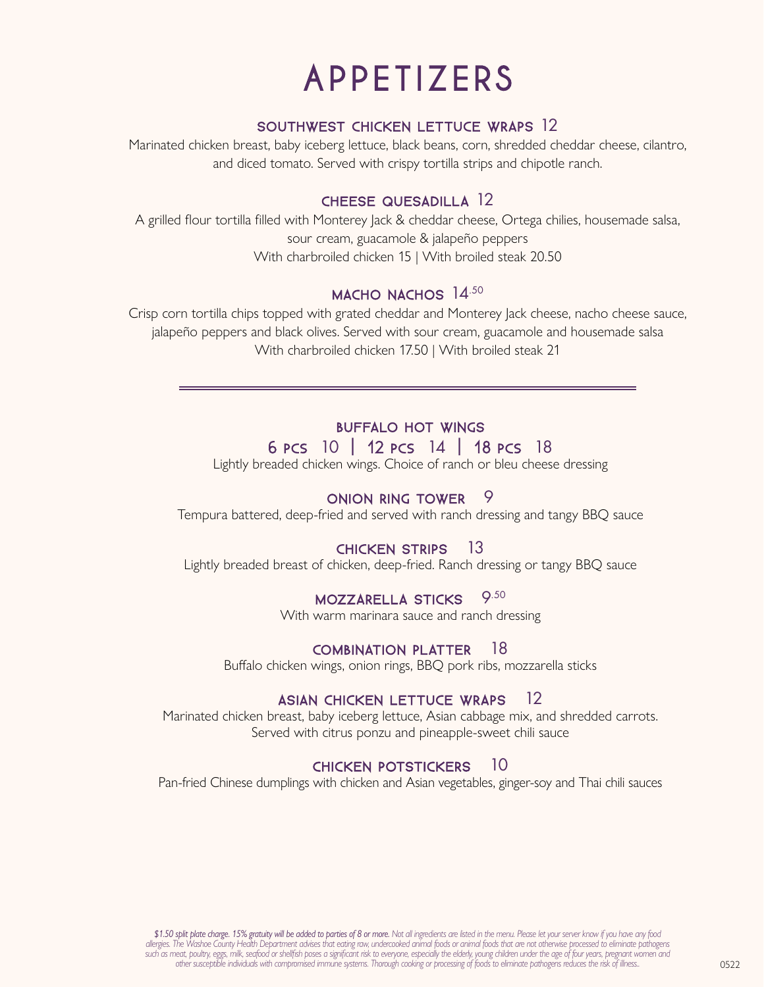## APPETIZERS

#### SOUTHWEST CHICKEN LETTUCE WRAPS 12

Marinated chicken breast, baby iceberg lettuce, black beans, corn, shredded cheddar cheese, cilantro, and diced tomato. Served with crispy tortilla strips and chipotle ranch.

#### CHEESE QUESADILLA 12

A grilled flour tortilla filled with Monterey Jack & cheddar cheese, Ortega chilies, housemade salsa, sour cream, guacamole & jalapeño peppers With charbroiled chicken 15 | With broiled steak 20.50

#### MACHO NACHOS 14.50

Crisp corn tortilla chips topped with grated cheddar and Monterey Jack cheese, nacho cheese sauce, jalapeño peppers and black olives. Served with sour cream, guacamole and housemade salsa With charbroiled chicken 17.50 | With broiled steak 21

#### BUFFALO HOT WINGS

#### 6 Pcs 10 | 12 Pcs 14 | 18 Pcs 18

Lightly breaded chicken wings. Choice of ranch or bleu cheese dressing

#### ONION RING TOWER 9

Tempura battered, deep-fried and served with ranch dressing and tangy BBQ sauce

#### CHICKEN STRIPS 13

Lightly breaded breast of chicken, deep-fried. Ranch dressing or tangy BBQ sauce

#### MOZZARELLA STICKS 9.50

With warm marinara sauce and ranch dressing

#### COMBINATION PLATTER 18

Buffalo chicken wings, onion rings, BBQ pork ribs, mozzarella sticks

#### ASIAN CHICKEN LETTUCE WRAPS 12

Marinated chicken breast, baby iceberg lettuce, Asian cabbage mix, and shredded carrots. Served with citrus ponzu and pineapple-sweet chili sauce

#### CHICKEN POTSTICKERS 10

Pan-fried Chinese dumplings with chicken and Asian vegetables, ginger-soy and Thai chili sauces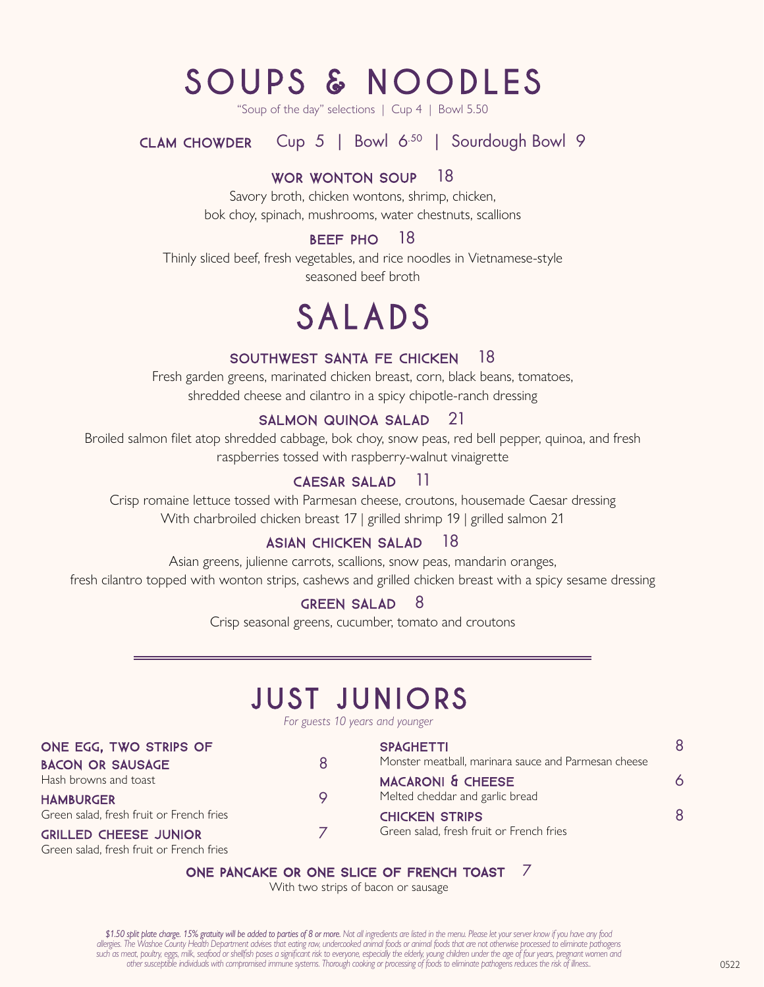## SOUPS & NOODLES

"Soup of the day" selections | Cup 4 | Bowl 5.50

CLAM CHOWDER Cup 5 | Bowl 6.50 | Sourdough Bowl 9

#### WOR WONTON SOUP 18

Savory broth, chicken wontons, shrimp, chicken, bok choy, spinach, mushrooms, water chestnuts, scallions

#### BEEF PHO 18

Thinly sliced beef, fresh vegetables, and rice noodles in Vietnamese-style seasoned beef broth

## SALADS

#### SOUTHWEST SANTA FE CHICKEN 18

Fresh garden greens, marinated chicken breast, corn, black beans, tomatoes, shredded cheese and cilantro in a spicy chipotle-ranch dressing

#### SALMON QUINOA SALAD 21

Broiled salmon filet atop shredded cabbage, bok choy, snow peas, red bell pepper, quinoa, and fresh raspberries tossed with raspberry-walnut vinaigrette

#### CAESAR SALAD 11

Crisp romaine lettuce tossed with Parmesan cheese, croutons, housemade Caesar dressing With charbroiled chicken breast 17 | grilled shrimp 19 | grilled salmon 21

#### ASIAN CHICKEN SALAD 18

Asian greens, julienne carrots, scallions, snow peas, mandarin oranges, fresh cilantro topped with wonton strips, cashews and grilled chicken breast with a spicy sesame dressing

#### GREEN SALAD 8

Crisp seasonal greens, cucumber, tomato and croutons

### JUST JUNIORS

*For guests 10 years and younger*

| ONE EGG, TWO STRIPS OF                   |         | <b>SPAGHETTI</b>                                     | 8 |
|------------------------------------------|---------|------------------------------------------------------|---|
| <b>BACON OR SAUSAGE</b>                  | R       | Monster meatball, marinara sauce and Parmesan cheese |   |
| Hash browns and toast                    |         | <b>MACARONI &amp; CHEESE</b>                         | 6 |
| <b>HAMBURGER</b>                         | $\circ$ | Melted cheddar and garlic bread                      |   |
| Green salad, fresh fruit or French fries |         | <b>CHICKEN STRIPS</b>                                | 8 |
| <b>GRILLED CHEESE JUNIOR</b>             |         | Green salad, fresh fruit or French fries             |   |
| Green salad, fresh fruit or French fries |         |                                                      |   |

#### ONE PANCAKE OR ONE SLICE OF FRENCH TOAST 7

With two strips of bacon or sausage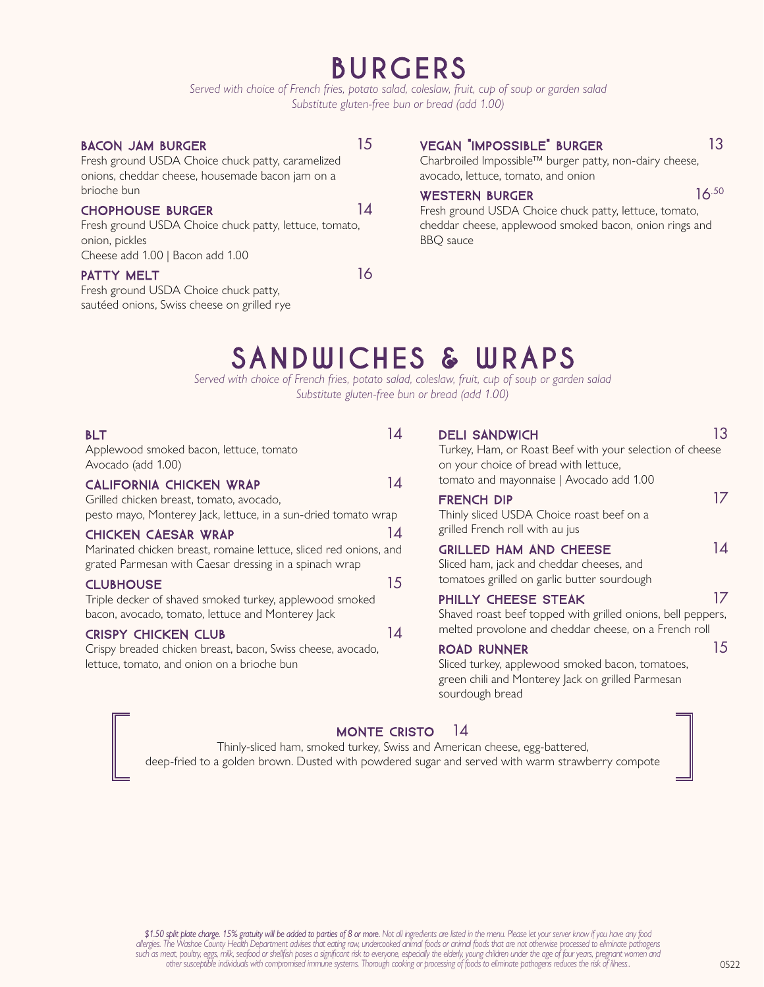### BURGERS

*Served with choice of French fries, potato salad, coleslaw, fruit, cup of soup or garden salad Substitute gluten-free bun or bread (add 1.00)*

#### BACON JAM BURGER 15

#### VEGAN "IMPOSSIBLE" BURGER 13

Charbroiled Impossible™ burger patty, non-dairy cheese, avocado, lettuce, tomato, and onion

#### WESTERN BURGER  $16.50$

Fresh ground USDA Choice chuck patty, lettuce, tomato, cheddar cheese, applewood smoked bacon, onion rings and BBQ sauce

#### brioche bun

#### CHOPHOUSE BURGER 14

Fresh ground USDA Choice chuck patty, lettuce, tomato, onion, pickles Cheese add 1.00 | Bacon add 1.00

Fresh ground USDA Choice chuck patty, caramelized onions, cheddar cheese, housemade bacon jam on a

#### PATTY MELT 16

Fresh ground USDA Choice chuck patty, sautéed onions, Swiss cheese on grilled rye

### SANDWICHES & WRAPS

*Served with choice of French fries, potato salad, coleslaw, fruit, cup of soup or garden salad Substitute gluten-free bun or bread (add 1.00)*

| <b>BLT</b><br>Applewood smoked bacon, lettuce, tomato<br>Avocado (add 1.00)                                                                               | 14 | <b>DELI SANDWICH</b><br>Turkey, Ham, or Roast Beef with your selection of cheese<br>on your choice of bread with lettuce,                                                                               | 13 |
|-----------------------------------------------------------------------------------------------------------------------------------------------------------|----|---------------------------------------------------------------------------------------------------------------------------------------------------------------------------------------------------------|----|
| <b>CALIFORNIA CHICKEN WRAP</b><br>Grilled chicken breast, tomato, avocado,<br>pesto mayo, Monterey Jack, lettuce, in a sun-dried tomato wrap              | 14 | tomato and mayonnaise   Avocado add 1.00<br><b>FRENCH DIP</b><br>Thinly sliced USDA Choice roast beef on a                                                                                              | 17 |
| <b>CHICKEN CAESAR WRAP</b><br>Marinated chicken breast, romaine lettuce, sliced red onions, and<br>grated Parmesan with Caesar dressing in a spinach wrap | 14 | grilled French roll with au jus<br><b>GRILLED HAM AND CHEESE</b><br>Sliced ham, jack and cheddar cheeses, and                                                                                           | 14 |
| <b>CLUBHOUSE</b><br>Triple decker of shaved smoked turkey, applewood smoked<br>bacon, avocado, tomato, lettuce and Monterey Jack                          | 15 | tomatoes grilled on garlic butter sourdough<br>PHILLY CHEESE STEAK<br>Shaved roast beef topped with grilled onions, bell peppers,                                                                       | 17 |
| <b>CRISPY CHICKEN CLUB</b><br>Crispy breaded chicken breast, bacon, Swiss cheese, avocado,<br>lettuce, tomato, and onion on a brioche bun                 | 14 | melted provolone and cheddar cheese, on a French roll<br><b>ROAD RUNNER</b><br>Sliced turkey, applewood smoked bacon, tomatoes,<br>green chili and Monterey Jack on grilled Parmesan<br>sourdough bread | 15 |
|                                                                                                                                                           |    |                                                                                                                                                                                                         |    |

#### MONTE CRISTO 14

Thinly-sliced ham, smoked turkey, Swiss and American cheese, egg-battered, deep-fried to a golden brown. Dusted with powdered sugar and served with warm strawberry compote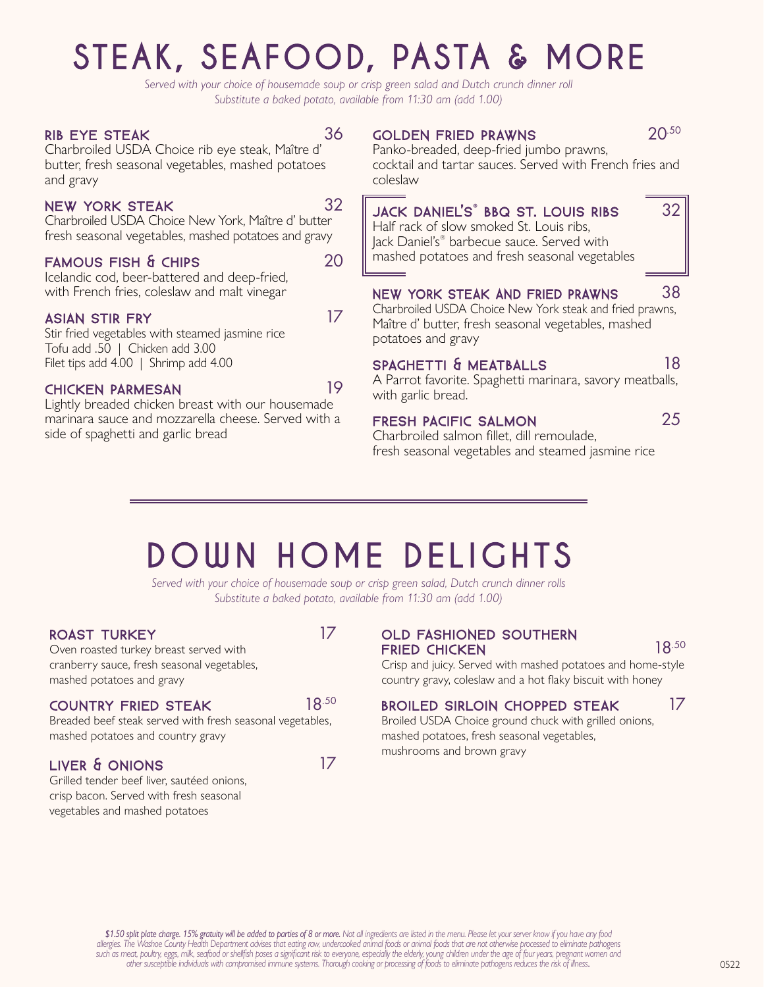# STEAK, SEAFOOD, PASTA & MORE

*Served with your choice of housemade soup or crisp green salad and Dutch crunch dinner roll Substitute a baked potato, available from 11:30 am (add 1.00)*

#### RIB EYE STEAK 36

Charbroiled USDA Choice rib eye steak, Maître d' butter, fresh seasonal vegetables, mashed potatoes and gravy

#### NEW YORK STEAK 32

Charbroiled USDA Choice New York, Maître d' butter fresh seasonal vegetables, mashed potatoes and gravy

#### FAMOUS FISH & CHIPS 20

Icelandic cod, beer-battered and deep-fried, with French fries, coleslaw and malt vinegar

#### ASIAN STIR FRY 17

Stir fried vegetables with steamed jasmine rice Tofu add .50 | Chicken add 3.00 Filet tips add 4.00 | Shrimp add 4.00

#### CHICKEN PARMESAN 19

Lightly breaded chicken breast with our housemade marinara sauce and mozzarella cheese. Served with a side of spaghetti and garlic bread

#### GOLDEN FRIED PRAWNS 20.50

Panko-breaded, deep-fried jumbo prawns, cocktail and tartar sauces. Served with French fries and coleslaw

#### JACK DANIEL'S® BBQ ST. LOUIS RIBS 32 Half rack of slow smoked St. Louis ribs,

Jack Daniel's® barbecue sauce. Served with mashed potatoes and fresh seasonal vegetables

#### NEW YORK STEAK AND FRIED PRAWNS 38

Charbroiled USDA Choice New York steak and fried prawns, Maître d' butter, fresh seasonal vegetables, mashed potatoes and gravy

#### SPAGHETTI & MEATBALLS 18

A Parrot favorite. Spaghetti marinara, savory meatballs, with garlic bread.

#### FRESH PACIFIC SALMON 25

Charbroiled salmon fillet, dill remoulade, fresh seasonal vegetables and steamed jasmine rice

## DOWN HOME DELIGHTS

*Served with your choice of housemade soup or crisp green salad, Dutch crunch dinner rolls Substitute a baked potato, available from 11:30 am (add 1.00)*

#### ROAST TURKEY 17

Oven roasted turkey breast served with cranberry sauce, fresh seasonal vegetables, mashed potatoes and gravy

#### COUNTRY FRIED STEAK 18.50

Breaded beef steak served with fresh seasonal vegetables, mashed potatoes and country gravy

#### LIVER & ONIONS 17

Grilled tender beef liver, sautéed onions, crisp bacon. Served with fresh seasonal vegetables and mashed potatoes

#### OLD FASHIONED SOUTHERN FRIED CHICKEN 18.50

Crisp and juicy. Served with mashed potatoes and home-style country gravy, coleslaw and a hot flaky biscuit with honey

#### BROILED SIRLOIN CHOPPED STEAK 17

Broiled USDA Choice ground chuck with grilled onions, mashed potatoes, fresh seasonal vegetables, mushrooms and brown gravy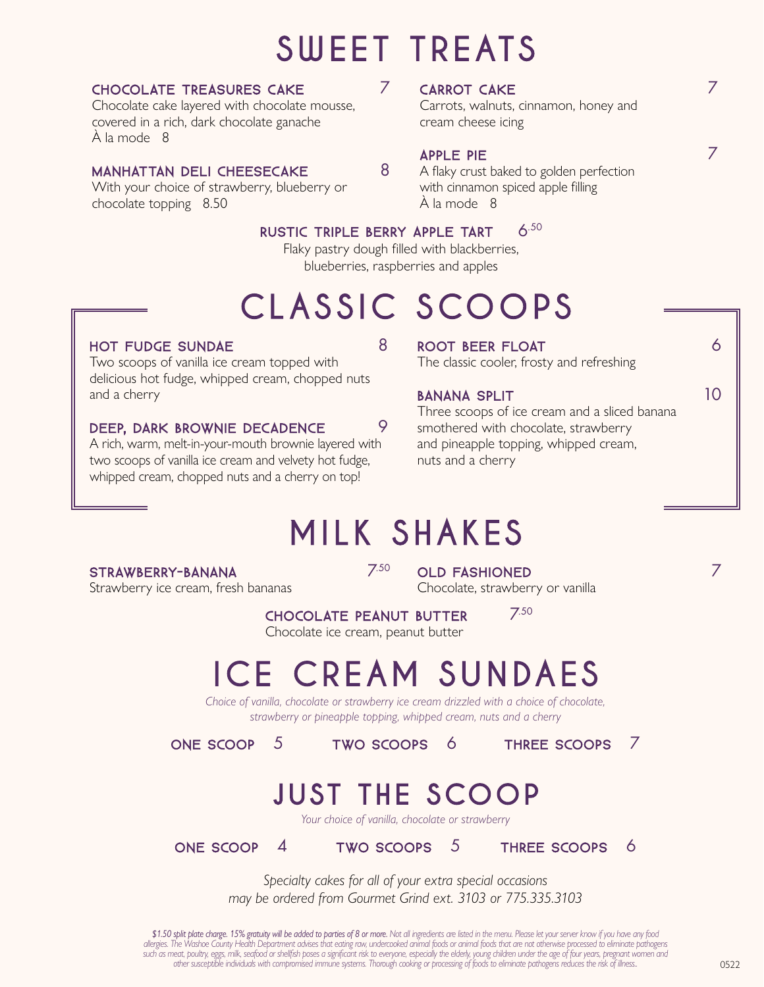## SWEET TREATS

#### CHOCOLATE TREASURES CAKE  $7$

Chocolate cake layered with chocolate mousse, covered in a rich, dark chocolate ganache À la mode 8

#### MANHATTAN DELI CHEESECAKE 8

With your choice of strawberry, blueberry or chocolate topping 8.50

#### CARROT CAKE 7

Carrots, walnuts, cinnamon, honey and cream cheese icing

#### APPLE PIE 7

A flaky crust baked to golden perfection with cinnamon spiced apple filling À la mode 8

#### RUSTIC TRIPLE BERRY APPLE TART 6.50

Flaky pastry dough filled with blackberries, blueberries, raspberries and apples

## CLASSIC SCOOPS

#### HOT FUDGE SUNDAE 8

Two scoops of vanilla ice cream topped with delicious hot fudge, whipped cream, chopped nuts and a cherry

#### DEEP, DARK BROWNIE DECADENCE 9

A rich, warm, melt-in-your-mouth brownie layered with two scoops of vanilla ice cream and velvety hot fudge, whipped cream, chopped nuts and a cherry on top!

#### ROOT BEER FLOAT 6

The classic cooler, frosty and refreshing

#### BANANA SPLIT 10

Three scoops of ice cream and a sliced banana smothered with chocolate, strawberry and pineapple topping, whipped cream, nuts and a cherry

## MILK SHAKES

#### STRAWBERRY-BANANA 7.50

Strawberry ice cream, fresh bananas

OLD FASHIONED 7 7 Chocolate, strawberry or vanilla

CHOCOLATE PEANUT BUTTER 7.50

Chocolate ice cream, peanut butter

## ICE CREAM SUNDAES

*Choice of vanilla, chocolate or strawberry ice cream drizzled with a choice of chocolate, strawberry or pineapple topping, whipped cream, nuts and a cherry*

ONE SCOOP 5 TWO SCOOPS 6 THREE SCOOPS 7

### JUST THE SCOOP

*Your choice of vanilla, chocolate or strawberry*

ONE SCOOP 4 TWO SCOOPS 5 THREE SCOOPS 6

*Specialty cakes for all of your extra special occasions may be ordered from Gourmet Grind ext. 3103 or 775.335.3103*